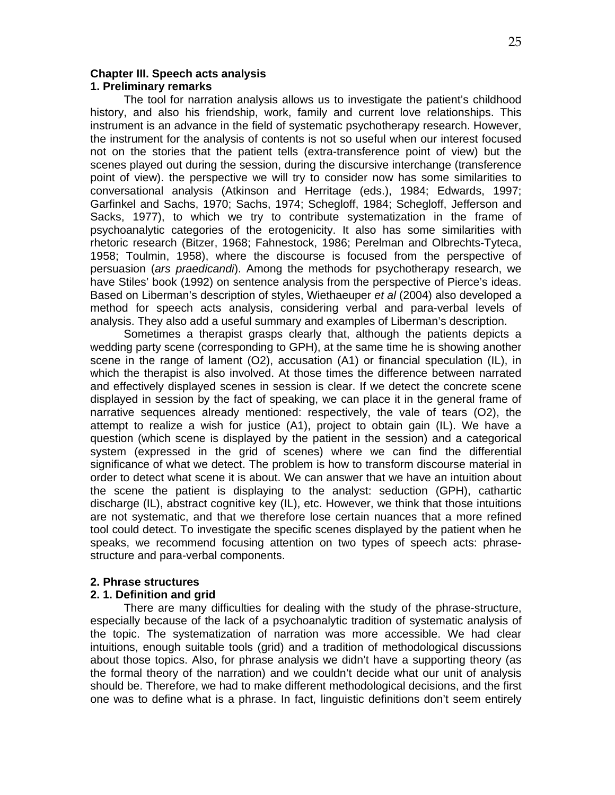### **Chapter III. Speech acts analysis 1. Preliminary remarks**

The tool for narration analysis allows us to investigate the patient's childhood history, and also his friendship, work, family and current love relationships. This instrument is an advance in the field of systematic psychotherapy research. However, the instrument for the analysis of contents is not so useful when our interest focused not on the stories that the patient tells (extra-transference point of view) but the scenes played out during the session, during the discursive interchange (transference point of view). the perspective we will try to consider now has some similarities to conversational analysis (Atkinson and Herritage (eds.), 1984; Edwards, 1997; Garfinkel and Sachs, 1970; Sachs, 1974; Schegloff, 1984; Schegloff, Jefferson and Sacks, 1977), to which we try to contribute systematization in the frame of psychoanalytic categories of the erotogenicity. It also has some similarities with rhetoric research (Bitzer, 1968; Fahnestock, 1986; Perelman and Olbrechts-Tyteca, 1958; Toulmin, 1958), where the discourse is focused from the perspective of persuasion (*ars praedicandi*). Among the methods for psychotherapy research, we have Stiles' book (1992) on sentence analysis from the perspective of Pierce's ideas. Based on Liberman's description of styles, Wiethaeuper *et al* (2004) also developed a method for speech acts analysis, considering verbal and para-verbal levels of analysis. They also add a useful summary and examples of Liberman's description.

Sometimes a therapist grasps clearly that, although the patients depicts a wedding party scene (corresponding to GPH), at the same time he is showing another scene in the range of lament (O2), accusation (A1) or financial speculation (IL), in which the therapist is also involved. At those times the difference between narrated and effectively displayed scenes in session is clear. If we detect the concrete scene displayed in session by the fact of speaking, we can place it in the general frame of narrative sequences already mentioned: respectively, the vale of tears (O2), the attempt to realize a wish for justice (A1), project to obtain gain (IL). We have a question (which scene is displayed by the patient in the session) and a categorical system (expressed in the grid of scenes) where we can find the differential significance of what we detect. The problem is how to transform discourse material in order to detect what scene it is about. We can answer that we have an intuition about the scene the patient is displaying to the analyst: seduction (GPH), cathartic discharge (IL), abstract cognitive key (IL), etc. However, we think that those intuitions are not systematic, and that we therefore lose certain nuances that a more refined tool could detect. To investigate the specific scenes displayed by the patient when he speaks, we recommend focusing attention on two types of speech acts: phrasestructure and para-verbal components.

## **2. Phrase structures**

## **2. 1. Definition and grid**

There are many difficulties for dealing with the study of the phrase-structure, especially because of the lack of a psychoanalytic tradition of systematic analysis of the topic. The systematization of narration was more accessible. We had clear intuitions, enough suitable tools (grid) and a tradition of methodological discussions about those topics. Also, for phrase analysis we didn't have a supporting theory (as the formal theory of the narration) and we couldn't decide what our unit of analysis should be. Therefore, we had to make different methodological decisions, and the first one was to define what is a phrase. In fact, linguistic definitions don't seem entirely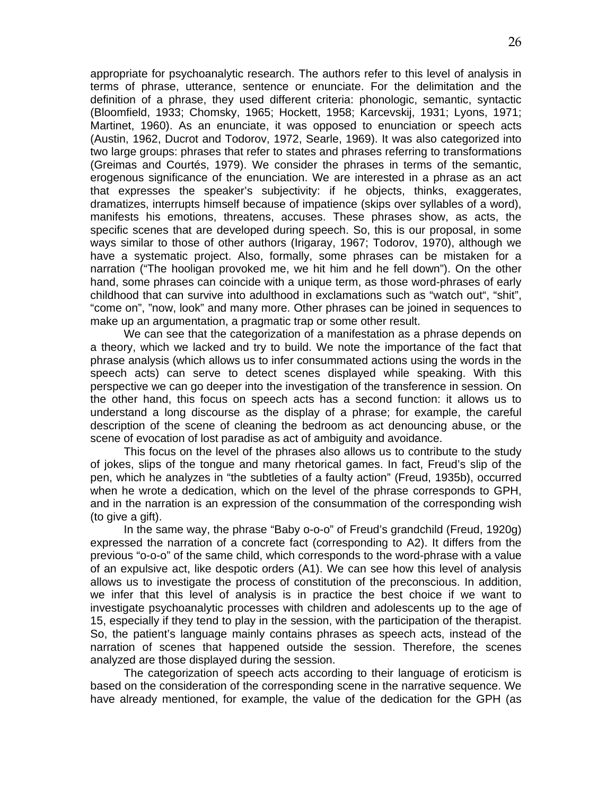appropriate for psychoanalytic research. The authors refer to this level of analysis in terms of phrase, utterance, sentence or enunciate. For the delimitation and the definition of a phrase, they used different criteria: phonologic, semantic, syntactic (Bloomfield, 1933; Chomsky, 1965; Hockett, 1958; Karcevskij, 1931; Lyons, 1971; Martinet, 1960). As an enunciate, it was opposed to enunciation or speech acts (Austin, 1962, Ducrot and Todorov, 1972, Searle, 1969). It was also categorized into two large groups: phrases that refer to states and phrases referring to transformations (Greimas and Courtés, 1979). We consider the phrases in terms of the semantic, erogenous significance of the enunciation. We are interested in a phrase as an act that expresses the speaker's subjectivity: if he objects, thinks, exaggerates, dramatizes, interrupts himself because of impatience (skips over syllables of a word), manifests his emotions, threatens, accuses. These phrases show, as acts, the specific scenes that are developed during speech. So, this is our proposal, in some ways similar to those of other authors (Irigaray, 1967; Todorov, 1970), although we have a systematic project. Also, formally, some phrases can be mistaken for a narration ("The hooligan provoked me, we hit him and he fell down"). On the other hand, some phrases can coincide with a unique term, as those word-phrases of early childhood that can survive into adulthood in exclamations such as "watch out", "shit", "come on", "now, look" and many more. Other phrases can be joined in sequences to make up an argumentation, a pragmatic trap or some other result.

We can see that the categorization of a manifestation as a phrase depends on a theory, which we lacked and try to build. We note the importance of the fact that phrase analysis (which allows us to infer consummated actions using the words in the speech acts) can serve to detect scenes displayed while speaking. With this perspective we can go deeper into the investigation of the transference in session. On the other hand, this focus on speech acts has a second function: it allows us to understand a long discourse as the display of a phrase; for example, the careful description of the scene of cleaning the bedroom as act denouncing abuse, or the scene of evocation of lost paradise as act of ambiguity and avoidance.

This focus on the level of the phrases also allows us to contribute to the study of jokes, slips of the tongue and many rhetorical games. In fact, Freud's slip of the pen, which he analyzes in "the subtleties of a faulty action" (Freud, 1935b), occurred when he wrote a dedication, which on the level of the phrase corresponds to GPH, and in the narration is an expression of the consummation of the corresponding wish (to give a gift).

In the same way, the phrase "Baby o-o-o" of Freud's grandchild (Freud, 1920g) expressed the narration of a concrete fact (corresponding to A2). It differs from the previous "o-o-o" of the same child, which corresponds to the word-phrase with a value of an expulsive act, like despotic orders (A1). We can see how this level of analysis allows us to investigate the process of constitution of the preconscious. In addition, we infer that this level of analysis is in practice the best choice if we want to investigate psychoanalytic processes with children and adolescents up to the age of 15, especially if they tend to play in the session, with the participation of the therapist. So, the patient's language mainly contains phrases as speech acts, instead of the narration of scenes that happened outside the session. Therefore, the scenes analyzed are those displayed during the session.

The categorization of speech acts according to their language of eroticism is based on the consideration of the corresponding scene in the narrative sequence. We have already mentioned, for example, the value of the dedication for the GPH (as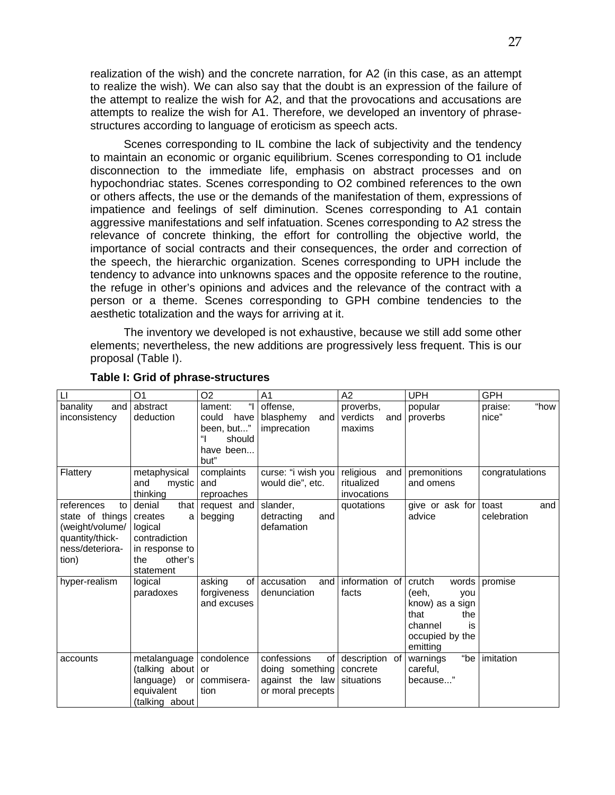realization of the wish) and the concrete narration, for A2 (in this case, as an attempt to realize the wish). We can also say that the doubt is an expression of the failure of the attempt to realize the wish for A2, and that the provocations and accusations are attempts to realize the wish for A1. Therefore, we developed an inventory of phrasestructures according to language of eroticism as speech acts.

Scenes corresponding to IL combine the lack of subjectivity and the tendency to maintain an economic or organic equilibrium. Scenes corresponding to O1 include disconnection to the immediate life, emphasis on abstract processes and on hypochondriac states. Scenes corresponding to O2 combined references to the own or others affects, the use or the demands of the manifestation of them, expressions of impatience and feelings of self diminution. Scenes corresponding to A1 contain aggressive manifestations and self infatuation. Scenes corresponding to A2 stress the relevance of concrete thinking, the effort for controlling the objective world, the importance of social contracts and their consequences, the order and correction of the speech, the hierarchic organization. Scenes corresponding to UPH include the tendency to advance into unknowns spaces and the opposite reference to the routine, the refuge in other's opinions and advices and the relevance of the contract with a person or a theme. Scenes corresponding to GPH combine tendencies to the aesthetic totalization and the ways for arriving at it.

The inventory we developed is not exhaustive, because we still add some other elements; nevertheless, the new additions are progressively less frequent. This is our proposal (Table I).

| $\mathsf{L}$                                                                                          | O1                                                                                                              | O <sub>2</sub>                                                                        | A <sub>1</sub>                                                               | A2                                            | <b>UPH</b>                                                                                                        | <b>GPH</b>                  |
|-------------------------------------------------------------------------------------------------------|-----------------------------------------------------------------------------------------------------------------|---------------------------------------------------------------------------------------|------------------------------------------------------------------------------|-----------------------------------------------|-------------------------------------------------------------------------------------------------------------------|-----------------------------|
| banality<br>and<br>inconsistency                                                                      | abstract<br>deduction                                                                                           | $\mathbf{u}$<br>lament:<br>have<br>could<br>been, but"<br>should<br>have been<br>but" | offense,<br>blasphemy<br>and<br>imprecation                                  | proverbs,<br>verdicts<br>and<br>maxims        | popular<br>proverbs                                                                                               | "how<br>praise:<br>nice"    |
| Flattery                                                                                              | metaphysical<br>and<br>mystic<br>thinking                                                                       | complaints<br>and<br>reproaches                                                       | curse: "i wish you<br>would die", etc.                                       | religious<br>and<br>ritualized<br>invocations | premonitions<br>and omens                                                                                         | congratulations             |
| references<br>to<br>state of things<br>(weight/volume/<br>quantity/thick-<br>ness/deteriora-<br>tion) | denial<br>that  <br>creates<br>a l<br>logical<br>contradiction<br>in response to<br>other's<br>the<br>statement | request and<br>begging                                                                | slander,<br>detracting<br>and<br>defamation                                  | quotations                                    | give or ask for<br>advice                                                                                         | and<br>toast<br>celebration |
| hyper-realism                                                                                         | logical<br>paradoxes                                                                                            | of l<br>asking<br>forgiveness<br>and excuses                                          | accusation<br>and<br>denunciation                                            | information of<br>facts                       | crutch<br>words<br>(eeh,<br>you<br>know) as a sign<br>that<br>the<br>channel<br>is<br>occupied by the<br>emitting | promise                     |
| accounts                                                                                              | metalanguage<br>(talking about<br>language)<br>or I<br>equivalent<br>(talking about)                            | condolence<br>or<br>commisera-<br>tion                                                | confessions<br>0f<br>doing something<br>against the law<br>or moral precepts | description of<br>concrete<br>situations      | "be<br>warnings<br>careful,<br>because"                                                                           | imitation                   |

### **Table I: Grid of phrase-structures**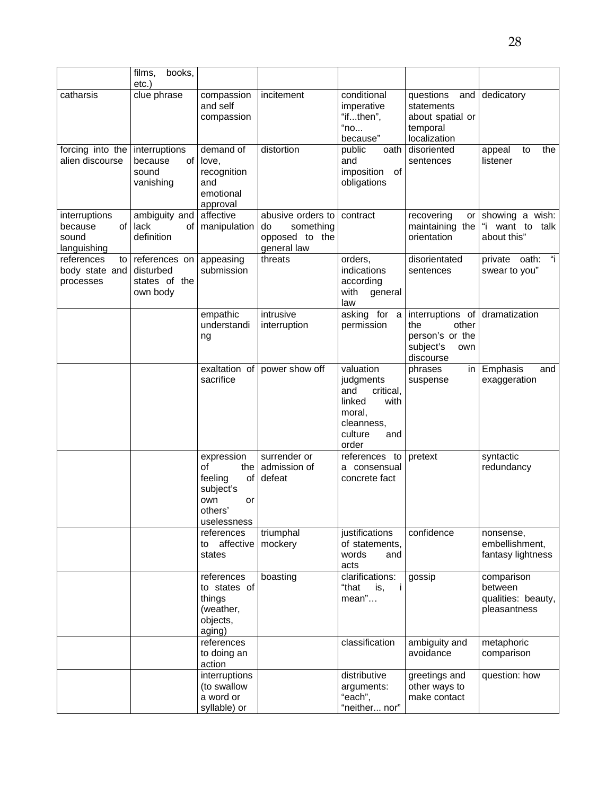|                                                        | films,<br>books,                                        |                                                                                                |                                                                       |                                                                                                                 |                                                                                      |                                                             |
|--------------------------------------------------------|---------------------------------------------------------|------------------------------------------------------------------------------------------------|-----------------------------------------------------------------------|-----------------------------------------------------------------------------------------------------------------|--------------------------------------------------------------------------------------|-------------------------------------------------------------|
|                                                        | etc.)                                                   |                                                                                                |                                                                       |                                                                                                                 |                                                                                      |                                                             |
| catharsis                                              | clue phrase                                             | compassion<br>and self<br>compassion                                                           | incitement                                                            | conditional<br>imperative<br>"ifthen",<br>"no<br>because"                                                       | questions<br>and<br>statements<br>about spatial or<br>temporal<br>localization       | dedicatory                                                  |
| forcing into the<br>alien discourse                    | interruptions<br>of<br>because<br>sound<br>vanishing    | demand of<br>love,<br>recognition<br>and<br>emotional<br>approval                              | distortion                                                            | public<br>oath<br>and<br>imposition of<br>obligations                                                           | disoriented<br>sentences                                                             | appeal<br>the<br>to<br>listener                             |
| interruptions<br>of<br>because<br>sound<br>languishing | ambiguity and<br>lack<br>definition                     | affective<br>of   manipulation                                                                 | abusive orders to<br>something<br>do<br>opposed to the<br>general law | contract                                                                                                        | recovering<br>or I<br>maintaining the<br>orientation                                 | showing a wish:<br>"i want to talk<br>about this"           |
| references<br>to l<br>body state and<br>processes      | references on<br>disturbed<br>states of the<br>own body | appeasing<br>submission                                                                        | threats                                                               | orders,<br>indications<br>according<br>with<br>general<br>law                                                   | disorientated<br>sentences                                                           | "i<br>private oath:<br>swear to you"                        |
|                                                        |                                                         | empathic<br>understandi<br>ng                                                                  | intrusive<br>interruption                                             | asking for a<br>permission                                                                                      | interruptions of<br>other<br>the<br>person's or the<br>subject's<br>own<br>discourse | dramatization                                               |
|                                                        |                                                         | exaltation of<br>sacrifice                                                                     | power show off                                                        | valuation<br>judgments<br>critical,<br>and<br>linked<br>with<br>moral,<br>cleanness,<br>culture<br>and<br>order | phrases<br>in l<br>suspense                                                          | Emphasis<br>and<br>exaggeration                             |
|                                                        |                                                         | expression<br>of<br>the  <br>feeling<br>of<br>subject's<br>own<br>or<br>others'<br>uselessness | surrender or<br>admission of<br>defeat                                | references to<br>a consensual<br>concrete fact                                                                  | pretext                                                                              | syntactic<br>redundancy                                     |
|                                                        |                                                         | references<br>affective<br>to<br>states                                                        | triumphal<br>mockery                                                  | justifications<br>of statements,<br>words<br>and<br>acts                                                        | confidence                                                                           | nonsense,<br>embellishment,<br>fantasy lightness            |
|                                                        |                                                         | references<br>to states of<br>things<br>(weather,<br>objects,<br>aging)                        | boasting                                                              | clarifications:<br>"that<br>is,<br>-i<br>mean"                                                                  | gossip                                                                               | comparison<br>between<br>qualities: beauty,<br>pleasantness |
|                                                        |                                                         | references<br>to doing an<br>action                                                            |                                                                       | classification                                                                                                  | ambiguity and<br>avoidance                                                           | metaphoric<br>comparison                                    |
|                                                        |                                                         | interruptions<br>(to swallow<br>a word or<br>syllable) or                                      |                                                                       | distributive<br>arguments:<br>"each",<br>"neither nor"                                                          | greetings and<br>other ways to<br>make contact                                       | question: how                                               |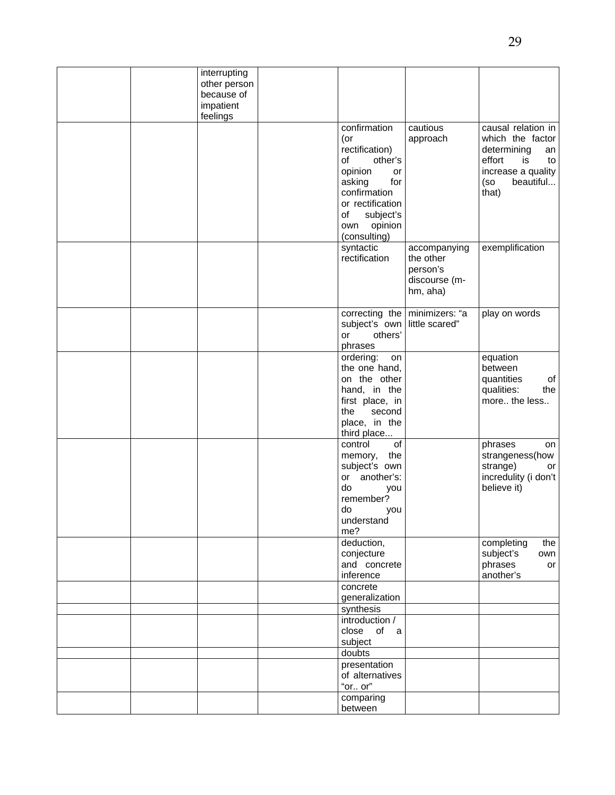|  | interrupting |                              |                               |                      |
|--|--------------|------------------------------|-------------------------------|----------------------|
|  | other person |                              |                               |                      |
|  | because of   |                              |                               |                      |
|  | impatient    |                              |                               |                      |
|  |              |                              |                               |                      |
|  | feelings     |                              |                               |                      |
|  |              | confirmation                 | cautious                      | causal relation in   |
|  |              | (or                          | approach                      | which the factor     |
|  |              | rectification)               |                               | determining<br>an    |
|  |              | of<br>other's                |                               | effort<br>is<br>to   |
|  |              | opinion<br>or                |                               | increase a quality   |
|  |              | asking<br>for                |                               | beautiful<br>(so     |
|  |              | confirmation                 |                               | that)                |
|  |              |                              |                               |                      |
|  |              | or rectification             |                               |                      |
|  |              | subject's<br>of              |                               |                      |
|  |              | opinion<br>own               |                               |                      |
|  |              | (consulting)                 |                               |                      |
|  |              | syntactic                    | accompanying                  | exemplification      |
|  |              | rectification                | the other                     |                      |
|  |              |                              | person's                      |                      |
|  |              |                              |                               |                      |
|  |              |                              | discourse (m-                 |                      |
|  |              |                              | hm, aha)                      |                      |
|  |              |                              |                               |                      |
|  |              |                              | correcting the minimizers: "a | play on words        |
|  |              | subject's own little scared" |                               |                      |
|  |              | others'<br>or                |                               |                      |
|  |              | phrases                      |                               |                      |
|  |              | ordering:<br>on              |                               | equation             |
|  |              | the one hand,                |                               | between              |
|  |              | on the other                 |                               | of<br>quantities     |
|  |              | hand, in the                 |                               | qualities:<br>the    |
|  |              |                              |                               |                      |
|  |              | first place, in              |                               | more the less        |
|  |              | the<br>second                |                               |                      |
|  |              | place, in the                |                               |                      |
|  |              | third place                  |                               |                      |
|  |              | of<br>control                |                               | phrases<br>on        |
|  |              | the<br>memory,               |                               | strangeness(how      |
|  |              | subject's own                |                               | strange)<br>or       |
|  |              | or another's:                |                               | incredulity (i don't |
|  |              | do                           |                               | believe it)          |
|  |              | you                          |                               |                      |
|  |              | remember?                    |                               |                      |
|  |              | do<br>you                    |                               |                      |
|  |              | understand                   |                               |                      |
|  |              | me?                          |                               |                      |
|  |              | deduction,                   |                               | completing<br>the    |
|  |              | conjecture                   |                               | subject's<br>own     |
|  |              | and concrete                 |                               | phrases<br>or        |
|  |              | inference                    |                               | another's            |
|  |              | concrete                     |                               |                      |
|  |              | generalization               |                               |                      |
|  |              | synthesis                    |                               |                      |
|  |              | introduction /               |                               |                      |
|  |              | close of<br>a                |                               |                      |
|  |              |                              |                               |                      |
|  |              | subject                      |                               |                      |
|  |              | doubts                       |                               |                      |
|  |              | presentation                 |                               |                      |
|  |              | of alternatives              |                               |                      |
|  |              | "or or"                      |                               |                      |
|  |              | comparing                    |                               |                      |
|  |              |                              |                               |                      |
|  |              | between                      |                               |                      |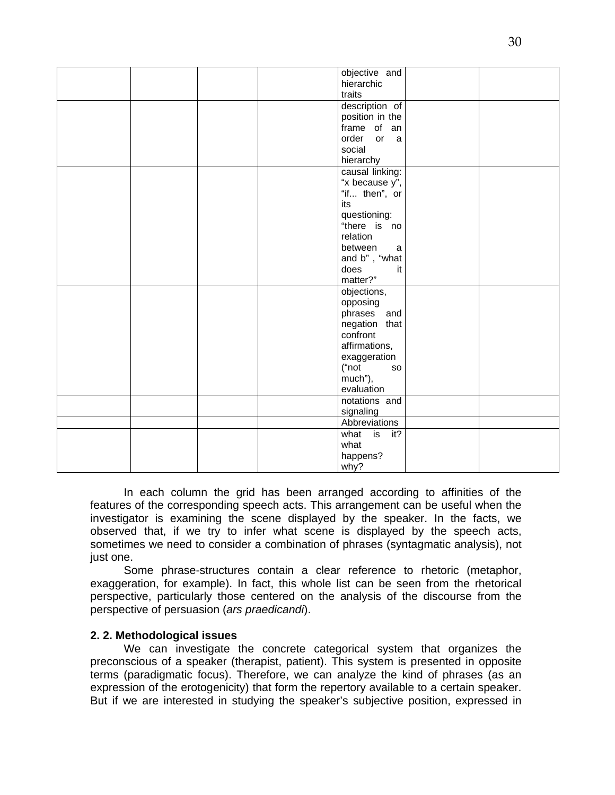|  | objective and   |  |
|--|-----------------|--|
|  | hierarchic      |  |
|  | traits          |  |
|  |                 |  |
|  | description of  |  |
|  | position in the |  |
|  | frame of an     |  |
|  | order or<br>a   |  |
|  | social          |  |
|  | hierarchy       |  |
|  | causal linking: |  |
|  | "x because y",  |  |
|  | "if then", or   |  |
|  | its             |  |
|  | questioning:    |  |
|  | "there is no    |  |
|  | relation        |  |
|  |                 |  |
|  | between<br>a    |  |
|  | and b", "what   |  |
|  | does<br>it      |  |
|  | matter?"        |  |
|  | objections,     |  |
|  | opposing        |  |
|  | phrases<br>and  |  |
|  | negation that   |  |
|  | confront        |  |
|  | affirmations,   |  |
|  | exaggeration    |  |
|  | ("not<br>so     |  |
|  | much"),         |  |
|  | evaluation      |  |
|  |                 |  |
|  | notations and   |  |
|  | signaling       |  |
|  | Abbreviations   |  |
|  | what is<br>it?  |  |
|  | what            |  |
|  | happens?        |  |
|  | why?            |  |

In each column the grid has been arranged according to affinities of the features of the corresponding speech acts. This arrangement can be useful when the investigator is examining the scene displayed by the speaker. In the facts, we observed that, if we try to infer what scene is displayed by the speech acts, sometimes we need to consider a combination of phrases (syntagmatic analysis), not just one.

Some phrase-structures contain a clear reference to rhetoric (metaphor, exaggeration, for example). In fact, this whole list can be seen from the rhetorical perspective, particularly those centered on the analysis of the discourse from the perspective of persuasion (*ars praedicandi*).

## **2. 2. Methodological issues**

We can investigate the concrete categorical system that organizes the preconscious of a speaker (therapist, patient). This system is presented in opposite terms (paradigmatic focus). Therefore, we can analyze the kind of phrases (as an expression of the erotogenicity) that form the repertory available to a certain speaker. But if we are interested in studying the speaker's subjective position, expressed in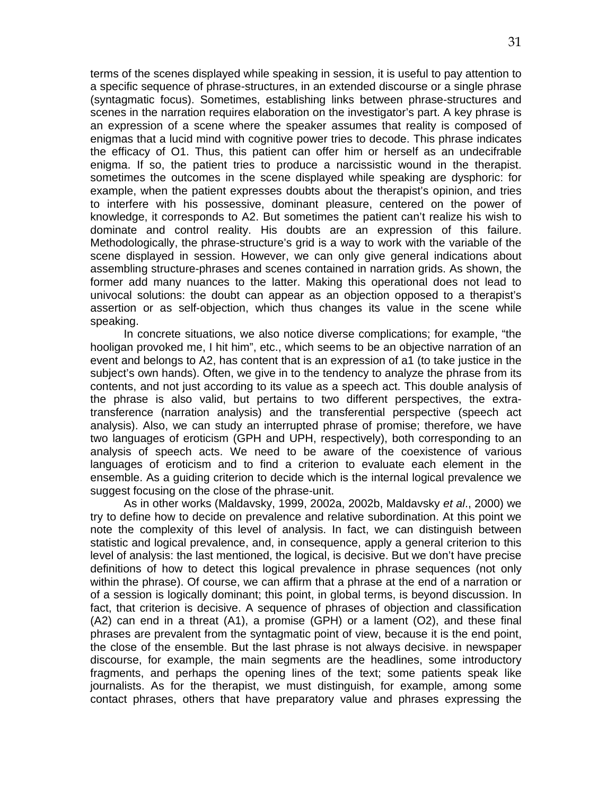terms of the scenes displayed while speaking in session, it is useful to pay attention to a specific sequence of phrase-structures, in an extended discourse or a single phrase (syntagmatic focus). Sometimes, establishing links between phrase-structures and scenes in the narration requires elaboration on the investigator's part. A key phrase is an expression of a scene where the speaker assumes that reality is composed of enigmas that a lucid mind with cognitive power tries to decode. This phrase indicates the efficacy of O1. Thus, this patient can offer him or herself as an undecifrable enigma. If so, the patient tries to produce a narcissistic wound in the therapist. sometimes the outcomes in the scene displayed while speaking are dysphoric: for example, when the patient expresses doubts about the therapist's opinion, and tries to interfere with his possessive, dominant pleasure, centered on the power of knowledge, it corresponds to A2. But sometimes the patient can't realize his wish to dominate and control reality. His doubts are an expression of this failure. Methodologically, the phrase-structure's grid is a way to work with the variable of the scene displayed in session. However, we can only give general indications about assembling structure-phrases and scenes contained in narration grids. As shown, the former add many nuances to the latter. Making this operational does not lead to univocal solutions: the doubt can appear as an objection opposed to a therapist's assertion or as self-objection, which thus changes its value in the scene while speaking.

In concrete situations, we also notice diverse complications; for example, "the hooligan provoked me, I hit him", etc., which seems to be an objective narration of an event and belongs to A2, has content that is an expression of a1 (to take justice in the subject's own hands). Often, we give in to the tendency to analyze the phrase from its contents, and not just according to its value as a speech act. This double analysis of the phrase is also valid, but pertains to two different perspectives, the extratransference (narration analysis) and the transferential perspective (speech act analysis). Also, we can study an interrupted phrase of promise; therefore, we have two languages of eroticism (GPH and UPH, respectively), both corresponding to an analysis of speech acts. We need to be aware of the coexistence of various languages of eroticism and to find a criterion to evaluate each element in the ensemble. As a guiding criterion to decide which is the internal logical prevalence we suggest focusing on the close of the phrase-unit.

As in other works (Maldavsky, 1999, 2002a, 2002b, Maldavsky *et al*., 2000) we try to define how to decide on prevalence and relative subordination. At this point we note the complexity of this level of analysis. In fact, we can distinguish between statistic and logical prevalence, and, in consequence, apply a general criterion to this level of analysis: the last mentioned, the logical, is decisive. But we don't have precise definitions of how to detect this logical prevalence in phrase sequences (not only within the phrase). Of course, we can affirm that a phrase at the end of a narration or of a session is logically dominant; this point, in global terms, is beyond discussion. In fact, that criterion is decisive. A sequence of phrases of objection and classification (A2) can end in a threat (A1), a promise (GPH) or a lament (O2), and these final phrases are prevalent from the syntagmatic point of view, because it is the end point, the close of the ensemble. But the last phrase is not always decisive. in newspaper discourse, for example, the main segments are the headlines, some introductory fragments, and perhaps the opening lines of the text; some patients speak like journalists. As for the therapist, we must distinguish, for example, among some contact phrases, others that have preparatory value and phrases expressing the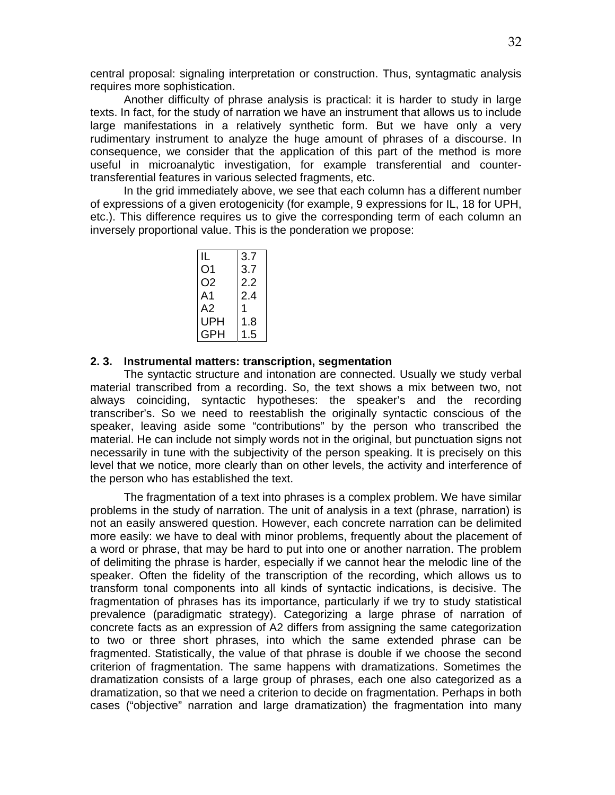central proposal: signaling interpretation or construction. Thus, syntagmatic analysis requires more sophistication.

Another difficulty of phrase analysis is practical: it is harder to study in large texts. In fact, for the study of narration we have an instrument that allows us to include large manifestations in a relatively synthetic form. But we have only a very rudimentary instrument to analyze the huge amount of phrases of a discourse. In consequence, we consider that the application of this part of the method is more useful in microanalytic investigation, for example transferential and countertransferential features in various selected fragments, etc.

In the grid immediately above, we see that each column has a different number of expressions of a given erotogenicity (for example, 9 expressions for IL, 18 for UPH, etc.). This difference requires us to give the corresponding term of each column an inversely proportional value. This is the ponderation we propose:

| IL  | 3.7 |
|-----|-----|
| O1  | 3.7 |
| O2  | 2.2 |
| A1  | 2.4 |
| A2  |     |
| UPH | 1.8 |
| GPH | 1.5 |

# **2. 3. Instrumental matters: transcription, segmentation**

The syntactic structure and intonation are connected. Usually we study verbal material transcribed from a recording. So, the text shows a mix between two, not always coinciding, syntactic hypotheses: the speaker's and the recording transcriber's. So we need to reestablish the originally syntactic conscious of the speaker, leaving aside some "contributions" by the person who transcribed the material. He can include not simply words not in the original, but punctuation signs not necessarily in tune with the subjectivity of the person speaking. It is precisely on this level that we notice, more clearly than on other levels, the activity and interference of the person who has established the text.

The fragmentation of a text into phrases is a complex problem. We have similar problems in the study of narration. The unit of analysis in a text (phrase, narration) is not an easily answered question. However, each concrete narration can be delimited more easily: we have to deal with minor problems, frequently about the placement of a word or phrase, that may be hard to put into one or another narration. The problem of delimiting the phrase is harder, especially if we cannot hear the melodic line of the speaker. Often the fidelity of the transcription of the recording, which allows us to transform tonal components into all kinds of syntactic indications, is decisive. The fragmentation of phrases has its importance, particularly if we try to study statistical prevalence (paradigmatic strategy). Categorizing a large phrase of narration of concrete facts as an expression of A2 differs from assigning the same categorization to two or three short phrases, into which the same extended phrase can be fragmented. Statistically, the value of that phrase is double if we choose the second criterion of fragmentation. The same happens with dramatizations. Sometimes the dramatization consists of a large group of phrases, each one also categorized as a dramatization, so that we need a criterion to decide on fragmentation. Perhaps in both cases ("objective" narration and large dramatization) the fragmentation into many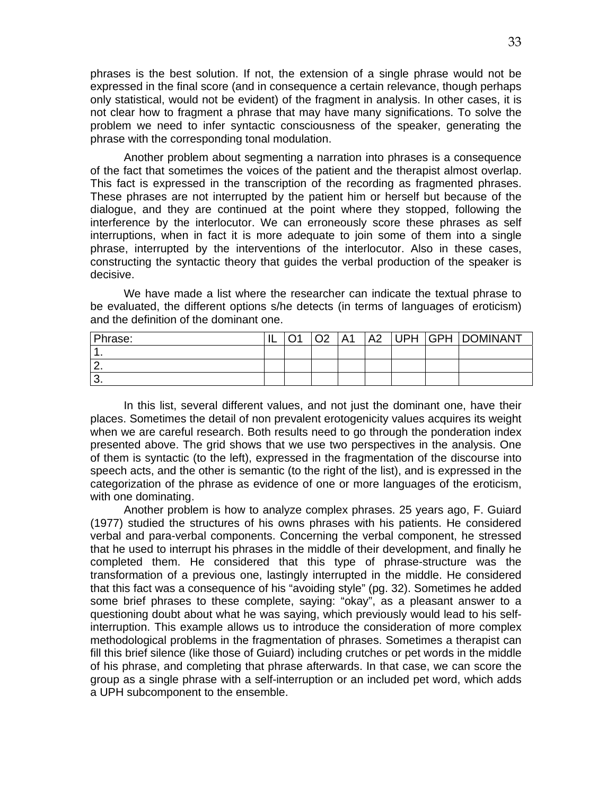phrases is the best solution. If not, the extension of a single phrase would not be expressed in the final score (and in consequence a certain relevance, though perhaps only statistical, would not be evident) of the fragment in analysis. In other cases, it is not clear how to fragment a phrase that may have many significations. To solve the problem we need to infer syntactic consciousness of the speaker, generating the phrase with the corresponding tonal modulation.

Another problem about segmenting a narration into phrases is a consequence of the fact that sometimes the voices of the patient and the therapist almost overlap. This fact is expressed in the transcription of the recording as fragmented phrases. These phrases are not interrupted by the patient him or herself but because of the dialogue, and they are continued at the point where they stopped, following the interference by the interlocutor. We can erroneously score these phrases as self interruptions, when in fact it is more adequate to join some of them into a single phrase, interrupted by the interventions of the interlocutor. Also in these cases, constructing the syntactic theory that guides the verbal production of the speaker is decisive.

We have made a list where the researcher can indicate the textual phrase to be evaluated, the different options s/he detects (in terms of languages of eroticism) and the definition of the dominant one.

| Phrase: | ا سال | $\cap$ | Δ1 | $\Delta$ | <b>UPH</b> | <b>GPH   DOMINANT</b> |
|---------|-------|--------|----|----------|------------|-----------------------|
|         |       |        |    |          |            |                       |
|         |       |        |    |          |            |                       |
| J.      |       |        |    |          |            |                       |

In this list, several different values, and not just the dominant one, have their places. Sometimes the detail of non prevalent erotogenicity values acquires its weight when we are careful research. Both results need to go through the ponderation index presented above. The grid shows that we use two perspectives in the analysis. One of them is syntactic (to the left), expressed in the fragmentation of the discourse into speech acts, and the other is semantic (to the right of the list), and is expressed in the categorization of the phrase as evidence of one or more languages of the eroticism, with one dominating.

Another problem is how to analyze complex phrases. 25 years ago, F. Guiard (1977) studied the structures of his owns phrases with his patients. He considered verbal and para-verbal components. Concerning the verbal component, he stressed that he used to interrupt his phrases in the middle of their development, and finally he completed them. He considered that this type of phrase-structure was the transformation of a previous one, lastingly interrupted in the middle. He considered that this fact was a consequence of his "avoiding style" (pg. 32). Sometimes he added some brief phrases to these complete, saying: "okay", as a pleasant answer to a questioning doubt about what he was saying, which previously would lead to his selfinterruption. This example allows us to introduce the consideration of more complex methodological problems in the fragmentation of phrases. Sometimes a therapist can fill this brief silence (like those of Guiard) including crutches or pet words in the middle of his phrase, and completing that phrase afterwards. In that case, we can score the group as a single phrase with a self-interruption or an included pet word, which adds a UPH subcomponent to the ensemble.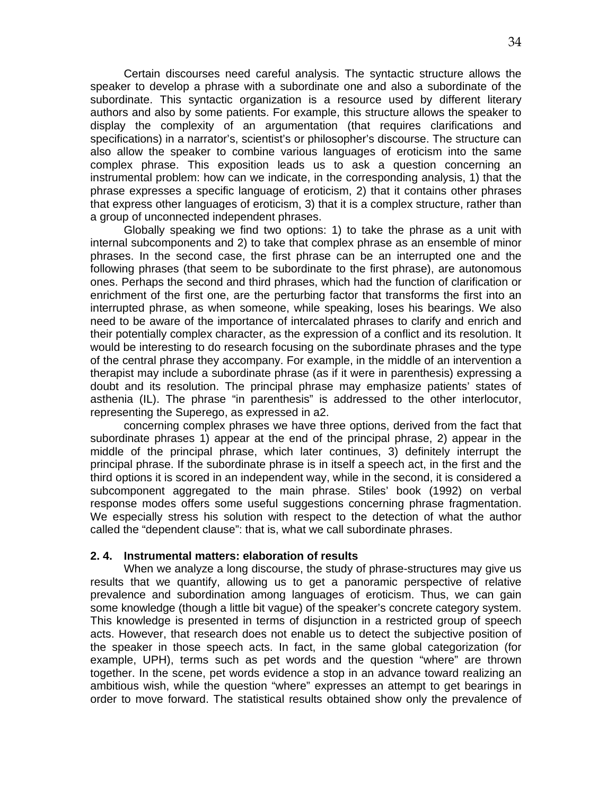Certain discourses need careful analysis. The syntactic structure allows the speaker to develop a phrase with a subordinate one and also a subordinate of the subordinate. This syntactic organization is a resource used by different literary authors and also by some patients. For example, this structure allows the speaker to display the complexity of an argumentation (that requires clarifications and specifications) in a narrator's, scientist's or philosopher's discourse. The structure can also allow the speaker to combine various languages of eroticism into the same complex phrase. This exposition leads us to ask a question concerning an instrumental problem: how can we indicate, in the corresponding analysis, 1) that the phrase expresses a specific language of eroticism, 2) that it contains other phrases that express other languages of eroticism, 3) that it is a complex structure, rather than a group of unconnected independent phrases.

Globally speaking we find two options: 1) to take the phrase as a unit with internal subcomponents and 2) to take that complex phrase as an ensemble of minor phrases. In the second case, the first phrase can be an interrupted one and the following phrases (that seem to be subordinate to the first phrase), are autonomous ones. Perhaps the second and third phrases, which had the function of clarification or enrichment of the first one, are the perturbing factor that transforms the first into an interrupted phrase, as when someone, while speaking, loses his bearings. We also need to be aware of the importance of intercalated phrases to clarify and enrich and their potentially complex character, as the expression of a conflict and its resolution. It would be interesting to do research focusing on the subordinate phrases and the type of the central phrase they accompany. For example, in the middle of an intervention a therapist may include a subordinate phrase (as if it were in parenthesis) expressing a doubt and its resolution. The principal phrase may emphasize patients' states of asthenia (IL). The phrase "in parenthesis" is addressed to the other interlocutor, representing the Superego, as expressed in a2.

concerning complex phrases we have three options, derived from the fact that subordinate phrases 1) appear at the end of the principal phrase, 2) appear in the middle of the principal phrase, which later continues, 3) definitely interrupt the principal phrase. If the subordinate phrase is in itself a speech act, in the first and the third options it is scored in an independent way, while in the second, it is considered a subcomponent aggregated to the main phrase. Stiles' book (1992) on verbal response modes offers some useful suggestions concerning phrase fragmentation. We especially stress his solution with respect to the detection of what the author called the "dependent clause": that is, what we call subordinate phrases.

### **2. 4. Instrumental matters: elaboration of results**

When we analyze a long discourse, the study of phrase-structures may give us results that we quantify, allowing us to get a panoramic perspective of relative prevalence and subordination among languages of eroticism. Thus, we can gain some knowledge (though a little bit vague) of the speaker's concrete category system. This knowledge is presented in terms of disjunction in a restricted group of speech acts. However, that research does not enable us to detect the subjective position of the speaker in those speech acts. In fact, in the same global categorization (for example, UPH), terms such as pet words and the question "where" are thrown together. In the scene, pet words evidence a stop in an advance toward realizing an ambitious wish, while the question "where" expresses an attempt to get bearings in order to move forward. The statistical results obtained show only the prevalence of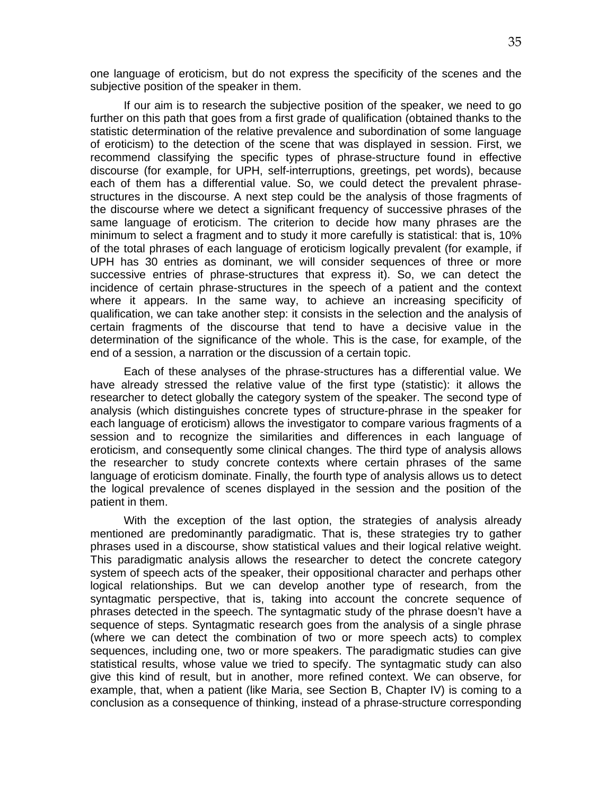one language of eroticism, but do not express the specificity of the scenes and the subjective position of the speaker in them.

If our aim is to research the subjective position of the speaker, we need to go further on this path that goes from a first grade of qualification (obtained thanks to the statistic determination of the relative prevalence and subordination of some language of eroticism) to the detection of the scene that was displayed in session. First, we recommend classifying the specific types of phrase-structure found in effective discourse (for example, for UPH, self-interruptions, greetings, pet words), because each of them has a differential value. So, we could detect the prevalent phrasestructures in the discourse. A next step could be the analysis of those fragments of the discourse where we detect a significant frequency of successive phrases of the same language of eroticism. The criterion to decide how many phrases are the minimum to select a fragment and to study it more carefully is statistical: that is, 10% of the total phrases of each language of eroticism logically prevalent (for example, if UPH has 30 entries as dominant, we will consider sequences of three or more successive entries of phrase-structures that express it). So, we can detect the incidence of certain phrase-structures in the speech of a patient and the context where it appears. In the same way, to achieve an increasing specificity of qualification, we can take another step: it consists in the selection and the analysis of certain fragments of the discourse that tend to have a decisive value in the determination of the significance of the whole. This is the case, for example, of the end of a session, a narration or the discussion of a certain topic.

Each of these analyses of the phrase-structures has a differential value. We have already stressed the relative value of the first type (statistic): it allows the researcher to detect globally the category system of the speaker. The second type of analysis (which distinguishes concrete types of structure-phrase in the speaker for each language of eroticism) allows the investigator to compare various fragments of a session and to recognize the similarities and differences in each language of eroticism, and consequently some clinical changes. The third type of analysis allows the researcher to study concrete contexts where certain phrases of the same language of eroticism dominate. Finally, the fourth type of analysis allows us to detect the logical prevalence of scenes displayed in the session and the position of the patient in them.

With the exception of the last option, the strategies of analysis already mentioned are predominantly paradigmatic. That is, these strategies try to gather phrases used in a discourse, show statistical values and their logical relative weight. This paradigmatic analysis allows the researcher to detect the concrete category system of speech acts of the speaker, their oppositional character and perhaps other logical relationships. But we can develop another type of research, from the syntagmatic perspective, that is, taking into account the concrete sequence of phrases detected in the speech. The syntagmatic study of the phrase doesn't have a sequence of steps. Syntagmatic research goes from the analysis of a single phrase (where we can detect the combination of two or more speech acts) to complex sequences, including one, two or more speakers. The paradigmatic studies can give statistical results, whose value we tried to specify. The syntagmatic study can also give this kind of result, but in another, more refined context. We can observe, for example, that, when a patient (like Maria, see Section B, Chapter IV) is coming to a conclusion as a consequence of thinking, instead of a phrase-structure corresponding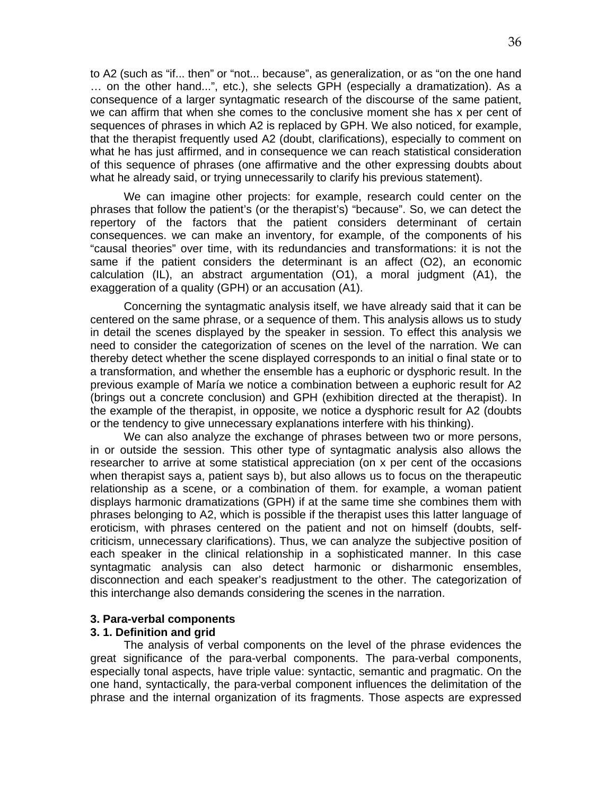to A2 (such as "if... then" or "not... because", as generalization, or as "on the one hand … on the other hand...", etc.), she selects GPH (especially a dramatization). As a consequence of a larger syntagmatic research of the discourse of the same patient, we can affirm that when she comes to the conclusive moment she has x per cent of sequences of phrases in which A2 is replaced by GPH. We also noticed, for example, that the therapist frequently used A2 (doubt, clarifications), especially to comment on what he has just affirmed, and in consequence we can reach statistical consideration of this sequence of phrases (one affirmative and the other expressing doubts about what he already said, or trying unnecessarily to clarify his previous statement).

We can imagine other projects: for example, research could center on the phrases that follow the patient's (or the therapist's) "because". So, we can detect the repertory of the factors that the patient considers determinant of certain consequences. we can make an inventory, for example, of the components of his "causal theories" over time, with its redundancies and transformations: it is not the same if the patient considers the determinant is an affect (O2), an economic calculation (IL), an abstract argumentation (O1), a moral judgment (A1), the exaggeration of a quality (GPH) or an accusation (A1).

Concerning the syntagmatic analysis itself, we have already said that it can be centered on the same phrase, or a sequence of them. This analysis allows us to study in detail the scenes displayed by the speaker in session. To effect this analysis we need to consider the categorization of scenes on the level of the narration. We can thereby detect whether the scene displayed corresponds to an initial o final state or to a transformation, and whether the ensemble has a euphoric or dysphoric result. In the previous example of María we notice a combination between a euphoric result for A2 (brings out a concrete conclusion) and GPH (exhibition directed at the therapist). In the example of the therapist, in opposite, we notice a dysphoric result for A2 (doubts or the tendency to give unnecessary explanations interfere with his thinking).

We can also analyze the exchange of phrases between two or more persons, in or outside the session. This other type of syntagmatic analysis also allows the researcher to arrive at some statistical appreciation (on x per cent of the occasions when therapist says a, patient says b), but also allows us to focus on the therapeutic relationship as a scene, or a combination of them. for example, a woman patient displays harmonic dramatizations (GPH) if at the same time she combines them with phrases belonging to A2, which is possible if the therapist uses this latter language of eroticism, with phrases centered on the patient and not on himself (doubts, selfcriticism, unnecessary clarifications). Thus, we can analyze the subjective position of each speaker in the clinical relationship in a sophisticated manner. In this case syntagmatic analysis can also detect harmonic or disharmonic ensembles, disconnection and each speaker's readjustment to the other. The categorization of this interchange also demands considering the scenes in the narration.

### **3. Para-verbal components**

### **3. 1. Definition and grid**

The analysis of verbal components on the level of the phrase evidences the great significance of the para-verbal components. The para-verbal components, especially tonal aspects, have triple value: syntactic, semantic and pragmatic. On the one hand, syntactically, the para-verbal component influences the delimitation of the phrase and the internal organization of its fragments. Those aspects are expressed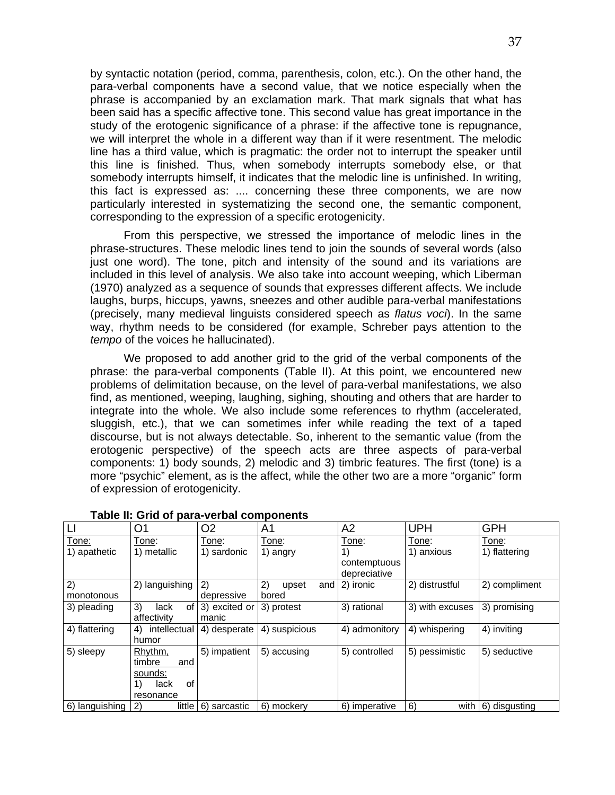by syntactic notation (period, comma, parenthesis, colon, etc.). On the other hand, the para-verbal components have a second value, that we notice especially when the phrase is accompanied by an exclamation mark. That mark signals that what has been said has a specific affective tone. This second value has great importance in the study of the erotogenic significance of a phrase: if the affective tone is repugnance, we will interpret the whole in a different way than if it were resentment. The melodic line has a third value, which is pragmatic: the order not to interrupt the speaker until this line is finished. Thus, when somebody interrupts somebody else, or that somebody interrupts himself, it indicates that the melodic line is unfinished. In writing, this fact is expressed as: .... concerning these three components, we are now particularly interested in systematizing the second one, the semantic component, corresponding to the expression of a specific erotogenicity.

From this perspective, we stressed the importance of melodic lines in the phrase-structures. These melodic lines tend to join the sounds of several words (also just one word). The tone, pitch and intensity of the sound and its variations are included in this level of analysis. We also take into account weeping, which Liberman (1970) analyzed as a sequence of sounds that expresses different affects. We include laughs, burps, hiccups, yawns, sneezes and other audible para-verbal manifestations (precisely, many medieval linguists considered speech as *flatus voci*). In the same way, rhythm needs to be considered (for example, Schreber pays attention to the *tempo* of the voices he hallucinated).

We proposed to add another grid to the grid of the verbal components of the phrase: the para-verbal components (Table II). At this point, we encountered new problems of delimitation because, on the level of para-verbal manifestations, we also find, as mentioned, weeping, laughing, sighing, shouting and others that are harder to integrate into the whole. We also include some references to rhythm (accelerated, sluggish, etc.), that we can sometimes infer while reading the text of a taped discourse, but is not always detectable. So, inherent to the semantic value (from the erotogenic perspective) of the speech acts are three aspects of para-verbal components: 1) body sounds, 2) melodic and 3) timbric features. The first (tone) is a more "psychic" element, as is the affect, while the other two are a more "organic" form of expression of erotogenicity.

|                              | O <sub>1</sub>                                                       | O <sub>2</sub>         | A <sub>1</sub>       | A2                                          | <b>UPH</b>          | <b>GPH</b>             |
|------------------------------|----------------------------------------------------------------------|------------------------|----------------------|---------------------------------------------|---------------------|------------------------|
| <u>Tone:</u><br>1) apathetic | Tone:<br>1) metallic                                                 | Tone:<br>1) sardonic   | Tone:<br>1) angry    | Tone:<br>1)<br>contemptuous<br>depreciative | Tone:<br>1) anxious | Tone:<br>1) flattering |
| 2)<br>monotonous             | 2) languishing                                                       | 2)<br>depressive       | 2)<br>upset<br>bored | and $ 2$ ) ironic                           | 2) distrustful      | 2) compliment          |
| 3) pleading                  | 3)<br>lack<br>of I<br>affectivity                                    | 3) excited or<br>manic | 3) protest           | 3) rational                                 | 3) with excuses     | 3) promising           |
| 4) flattering                | intellectual<br>4)<br>humor                                          | 4) desperate           | 4) suspicious        | 4) admonitory                               | 4) whispering       | 4) inviting            |
| 5) sleepy                    | Rhythm,<br>timbre<br>and<br>sounds:<br>of<br>1)<br>lack<br>resonance | 5) impatient           | 5) accusing          | 5) controlled                               | 5) pessimistic      | 5) seductive           |
| 6) languishing               | little<br>$\mathbf{2}$                                               | 6) sarcastic           | 6) mockery           | 6) imperative                               | 6)<br>with          | 6) disgusting          |

#### **Table II: Grid of para-verbal components**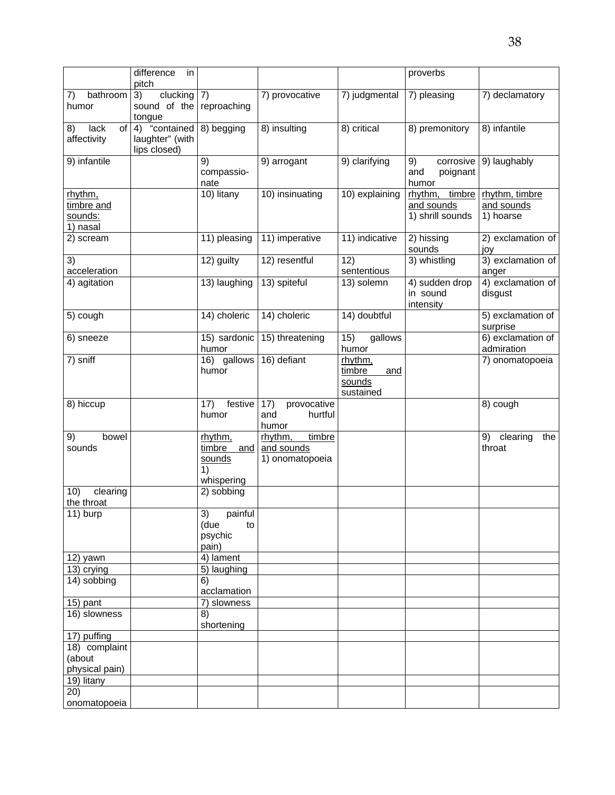|                         | difference<br>in       |                    |                    |                         | proverbs                       |                                     |
|-------------------------|------------------------|--------------------|--------------------|-------------------------|--------------------------------|-------------------------------------|
|                         | pitch                  |                    |                    |                         |                                |                                     |
| bathroom<br>7)          | 3)<br>clucking         | $\vert 7)$         | 7) provocative     | 7) judgmental           | 7) pleasing                    | 7) declamatory                      |
| humor                   | sound of the<br>tongue | reproaching        |                    |                         |                                |                                     |
| lack<br>of<br>8)        | 4) "contained          | 8) begging         | 8) insulting       | 8) critical             | 8) premonitory                 | 8) infantile                        |
| affectivity             | laughter" (with        |                    |                    |                         |                                |                                     |
|                         | lips closed)           |                    |                    |                         |                                |                                     |
| 9) infantile            |                        | 9)                 | 9) arrogant        | 9) clarifying           | corrosive<br>9)                | 9) laughably                        |
|                         |                        | compassio-         |                    |                         | and<br>poignant                |                                     |
|                         |                        | nate               |                    |                         | humor                          |                                     |
| rhythm,                 |                        | 10) litany         | 10) insinuating    | 10) explaining          | rhythm, timbre                 | rhythm, timbre                      |
| timbre and<br>sounds:   |                        |                    |                    |                         | and sounds<br>1) shrill sounds | and sounds<br>1) hoarse             |
| 1) nasal                |                        |                    |                    |                         |                                |                                     |
| 2) scream               |                        | 11) pleasing       | 11) imperative     | 11) indicative          | 2) hissing                     | 2) exclamation of                   |
|                         |                        |                    |                    |                         | sounds                         | joy                                 |
| 3)                      |                        | 12) guilty         | 12) resentful      | 12)                     | 3) whistling                   | 3) exclamation of                   |
| acceleration            |                        |                    |                    | sententious             |                                | anger                               |
| 4) agitation            |                        | 13) laughing       | 13) spiteful       | 13) solemn              | 4) sudden drop                 | 4) exclamation of                   |
|                         |                        |                    |                    |                         | in sound<br>intensity          | disgust                             |
| 5) cough                |                        | 14) choleric       | 14) choleric       | 14) doubtful            |                                | 5) exclamation of                   |
|                         |                        |                    |                    |                         |                                | surprise                            |
| 6) sneeze               |                        | 15) sardonic       | 15) threatening    | 15)<br>gallows          |                                | 6) exclamation of                   |
|                         |                        | humor              |                    | humor                   |                                | admiration                          |
| 7) sniff                |                        | 16) gallows        | 16) defiant        | rhythm,                 |                                | 7) onomatopoeia                     |
|                         |                        | humor              |                    | timbre<br>and<br>sounds |                                |                                     |
|                         |                        |                    |                    | sustained               |                                |                                     |
| 8) hiccup               |                        | 17)<br>festive     | 17)<br>provocative |                         |                                | 8) cough                            |
|                         |                        | humor              | and<br>hurtful     |                         |                                |                                     |
|                         |                        |                    | humor              |                         |                                |                                     |
| 9)<br>bowel             |                        | rhythm,            | rhythm,<br>timbre  |                         |                                | 9)<br>$\overline{c}$ learing<br>the |
| sounds                  |                        | timbre<br>and      | and sounds         |                         |                                | throat                              |
|                         |                        | sounds<br>1)       | 1) onomatopoeia    |                         |                                |                                     |
|                         |                        | whispering         |                    |                         |                                |                                     |
| 10)<br>clearing         |                        | 2) sobbing         |                    |                         |                                |                                     |
| the throat              |                        |                    |                    |                         |                                |                                     |
| 11) burp                |                        | 3)<br>painful      |                    |                         |                                |                                     |
|                         |                        | (due<br>to         |                    |                         |                                |                                     |
|                         |                        | psychic            |                    |                         |                                |                                     |
| 12) yawn                |                        | pain)<br>4) lament |                    |                         |                                |                                     |
| 13) crying              |                        | 5) laughing        |                    |                         |                                |                                     |
| 14) sobbing             |                        | 6)                 |                    |                         |                                |                                     |
|                         |                        | acclamation        |                    |                         |                                |                                     |
| 15) pant                |                        | 7) slowness        |                    |                         |                                |                                     |
| 16) slowness            |                        | 8)                 |                    |                         |                                |                                     |
|                         |                        | shortening         |                    |                         |                                |                                     |
| 17) puffing             |                        |                    |                    |                         |                                |                                     |
| 18) complaint<br>(about |                        |                    |                    |                         |                                |                                     |
| physical pain)          |                        |                    |                    |                         |                                |                                     |
| 19) litany              |                        |                    |                    |                         |                                |                                     |
| 20)                     |                        |                    |                    |                         |                                |                                     |
| onomatopoeia            |                        |                    |                    |                         |                                |                                     |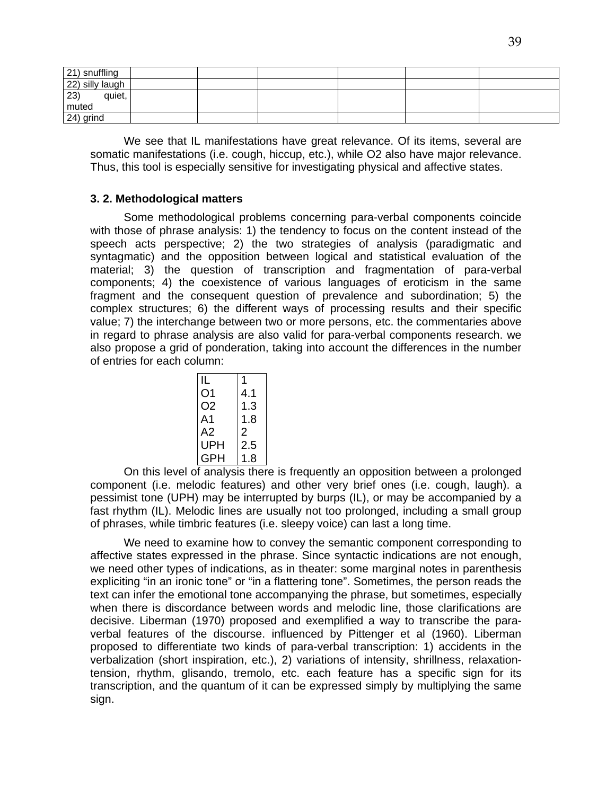| 21) snuffling          |  |  |  |
|------------------------|--|--|--|
| 22) silly laugh        |  |  |  |
| $ 23\rangle$<br>quiet, |  |  |  |
| muted                  |  |  |  |
| 24) grind              |  |  |  |

We see that IL manifestations have great relevance. Of its items, several are somatic manifestations (i.e. cough, hiccup, etc.), while O2 also have major relevance. Thus, this tool is especially sensitive for investigating physical and affective states.

# **3. 2. Methodological matters**

Some methodological problems concerning para-verbal components coincide with those of phrase analysis: 1) the tendency to focus on the content instead of the speech acts perspective; 2) the two strategies of analysis (paradigmatic and syntagmatic) and the opposition between logical and statistical evaluation of the material; 3) the question of transcription and fragmentation of para-verbal components; 4) the coexistence of various languages of eroticism in the same fragment and the consequent question of prevalence and subordination; 5) the complex structures; 6) the different ways of processing results and their specific value; 7) the interchange between two or more persons, etc. the commentaries above in regard to phrase analysis are also valid for para-verbal components research. we also propose a grid of ponderation, taking into account the differences in the number of entries for each column:

| IL  |     |
|-----|-----|
| O1  | 4.1 |
| O2  | 1.3 |
| A1  | 1.8 |
| A2  | 2   |
| UPH | 2.5 |
| GPH | 1.8 |
|     |     |

On this level of analysis there is frequently an opposition between a prolonged component (i.e. melodic features) and other very brief ones (i.e. cough, laugh). a pessimist tone (UPH) may be interrupted by burps (IL), or may be accompanied by a fast rhythm (IL). Melodic lines are usually not too prolonged, including a small group of phrases, while timbric features (i.e. sleepy voice) can last a long time.

We need to examine how to convey the semantic component corresponding to affective states expressed in the phrase. Since syntactic indications are not enough, we need other types of indications, as in theater: some marginal notes in parenthesis expliciting "in an ironic tone" or "in a flattering tone". Sometimes, the person reads the text can infer the emotional tone accompanying the phrase, but sometimes, especially when there is discordance between words and melodic line, those clarifications are decisive. Liberman (1970) proposed and exemplified a way to transcribe the paraverbal features of the discourse. influenced by Pittenger et al (1960). Liberman proposed to differentiate two kinds of para-verbal transcription: 1) accidents in the verbalization (short inspiration, etc.), 2) variations of intensity, shrillness, relaxationtension, rhythm, glisando, tremolo, etc. each feature has a specific sign for its transcription, and the quantum of it can be expressed simply by multiplying the same sign.